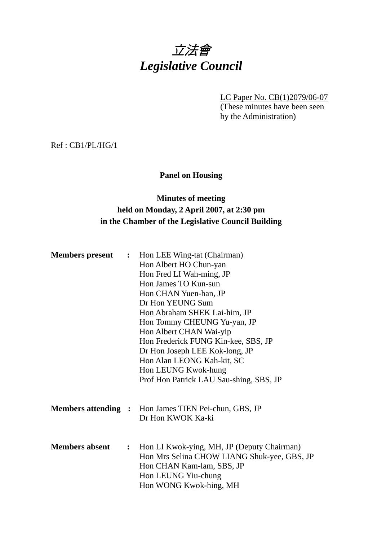# 立法會 *Legislative Council*

LC Paper No. CB(1)2079/06-07 (These minutes have been seen by the Administration)

Ref : CB1/PL/HG/1

#### **Panel on Housing**

# **Minutes of meeting held on Monday, 2 April 2007, at 2:30 pm in the Chamber of the Legislative Council Building**

| <b>Members present</b> | $\ddot{\cdot}$ | Hon LEE Wing-tat (Chairman)<br>Hon Albert HO Chun-yan<br>Hon Fred LI Wah-ming, JP<br>Hon James TO Kun-sun<br>Hon CHAN Yuen-han, JP<br>Dr Hon YEUNG Sum<br>Hon Abraham SHEK Lai-him, JP<br>Hon Tommy CHEUNG Yu-yan, JP<br>Hon Albert CHAN Wai-yip<br>Hon Frederick FUNG Kin-kee, SBS, JP<br>Dr Hon Joseph LEE Kok-long, JP<br>Hon Alan LEONG Kah-kit, SC<br>Hon LEUNG Kwok-hung<br>Prof Hon Patrick LAU Sau-shing, SBS, JP |
|------------------------|----------------|---------------------------------------------------------------------------------------------------------------------------------------------------------------------------------------------------------------------------------------------------------------------------------------------------------------------------------------------------------------------------------------------------------------------------|
|                        |                | <b>Members attending :</b> Hon James TIEN Pei-chun, GBS, JP<br>Dr Hon KWOK Ka-ki                                                                                                                                                                                                                                                                                                                                          |
| <b>Members absent</b>  | $\ddot{\cdot}$ | Hon LI Kwok-ying, MH, JP (Deputy Chairman)<br>Hon Mrs Selina CHOW LIANG Shuk-yee, GBS, JP<br>Hon CHAN Kam-lam, SBS, JP<br>Hon LEUNG Yiu-chung<br>Hon WONG Kwok-hing, MH                                                                                                                                                                                                                                                   |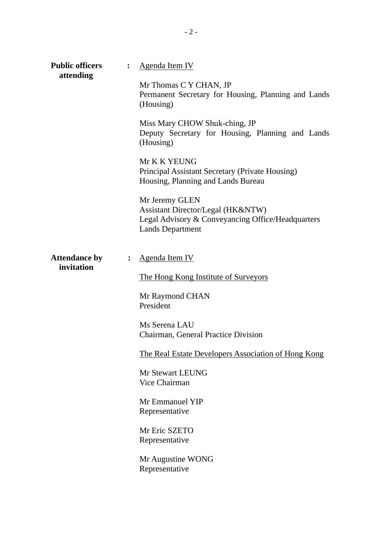| <b>Public officers</b><br>attending |                | <b>Agenda Item IV</b>                                                                                                               |
|-------------------------------------|----------------|-------------------------------------------------------------------------------------------------------------------------------------|
|                                     |                | Mr Thomas C Y CHAN, JP<br>Permanent Secretary for Housing, Planning and Lands<br>(Housing)                                          |
|                                     |                | Miss Mary CHOW Shuk-ching, JP<br>Deputy Secretary for Housing, Planning and Lands<br>(Housing)                                      |
|                                     |                | Mr K K YEUNG<br>Principal Assistant Secretary (Private Housing)<br>Housing, Planning and Lands Bureau                               |
|                                     |                | Mr Jeremy GLEN<br>Assistant Director/Legal (HK&NTW)<br>Legal Advisory & Conveyancing Office/Headquarters<br><b>Lands Department</b> |
| <b>Attendance by</b><br>invitation  | $\ddot{\cdot}$ | Agenda Item IV<br>The Hong Kong Institute of Surveyors                                                                              |
|                                     |                | Mr Raymond CHAN<br>President                                                                                                        |
|                                     |                | Ms Serena LAU<br>Chairman, General Practice Division                                                                                |
|                                     |                | <b>The Real Estate Developers Association of Hong Kong</b>                                                                          |
|                                     |                | Mr Stewart LEUNG<br>Vice Chairman                                                                                                   |
|                                     |                | Mr Emmanuel YIP<br>Representative                                                                                                   |
|                                     |                | Mr Eric SZETO<br>Representative                                                                                                     |
|                                     |                | Mr Augustine WONG<br>Representative                                                                                                 |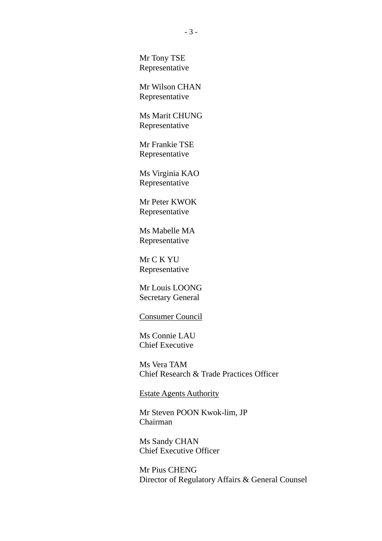Mr Tony TSE Representative

Mr Wilson CHAN Representative

Ms Marit CHUNG Representative

Mr Frankie TSE Representative

Ms Virginia KAO Representative

Mr Peter KWOK Representative

Ms Mabelle MA Representative

Mr C K YU Representative

Mr Louis LOONG Secretary General

#### Consumer Council

Ms Connie LAU Chief Executive

Ms Vera TAM Chief Research & Trade Practices Officer

Estate Agents Authority

Mr Steven POON Kwok-lim, JP Chairman

Ms Sandy CHAN Chief Executive Officer

Mr Pius CHENG Director of Regulatory Affairs & General Counsel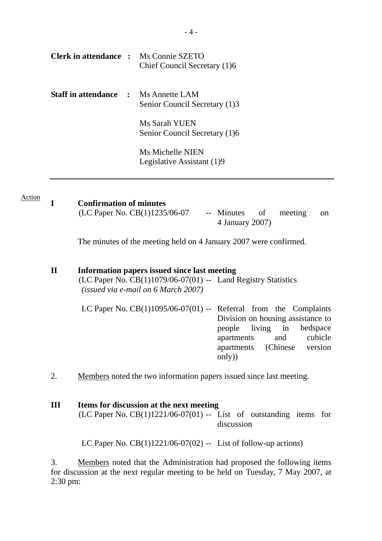| <b>Clerk in attendance :</b> Ms Connie SZETO | Chief Council Secretary (1)6                   |
|----------------------------------------------|------------------------------------------------|
| <b>Staff in attendance : Ms Annette LAM</b>  | Senior Council Secretary (1)3                  |
|                                              | Ms Sarah YUEN<br>Senior Council Secretary (1)6 |
|                                              | Ms Michelle NIEN<br>Legislative Assistant (1)9 |

| <u>Action</u> | <b>Confirmation of minutes</b>  |                       |  |  |               |
|---------------|---------------------------------|-----------------------|--|--|---------------|
|               | (LC Paper No. $CB(1)1235/06-07$ | -- Minutes of meeting |  |  | <sub>on</sub> |
|               |                                 | 4 January 2007)       |  |  |               |

The minutes of the meeting held on 4 January 2007 were confirmed.

| $\mathbf{I}$ | Information papers issued since last meeting                        |                                      |  |  |  |  |  |
|--------------|---------------------------------------------------------------------|--------------------------------------|--|--|--|--|--|
|              | $(LC$ Paper No. $CB(1)1079/06-07(01)$ -- Land Registry Statistics   |                                      |  |  |  |  |  |
|              | (issued via e-mail on 6 March 2007)                                 |                                      |  |  |  |  |  |
|              | LC Paper No. $CB(1)1095/06-07(01)$ -- Referral from the Complaints  | Division on housing assistance to    |  |  |  |  |  |
|              |                                                                     | people living in<br>bedspace         |  |  |  |  |  |
|              |                                                                     | cubicle<br>and<br>apartments         |  |  |  |  |  |
|              |                                                                     | apartments (Chinese version<br>only) |  |  |  |  |  |
|              | Members noted the two information papers issued since last meeting. |                                      |  |  |  |  |  |

| Ш | Items for discussion at the next meeting                               |  |  |  |  |  |  |
|---|------------------------------------------------------------------------|--|--|--|--|--|--|
|   | $(LC$ Paper No. $CB(1)1221/06-07(01)$ -- List of outstanding items for |  |  |  |  |  |  |
|   | discussion                                                             |  |  |  |  |  |  |
|   |                                                                        |  |  |  |  |  |  |

LC Paper No. CB(1)1221/06-07(02) -- List of follow-up actions)

3. Members noted that the Administration had proposed the following items for discussion at the next regular meeting to be held on Tuesday, 7 May 2007, at 2:30 pm: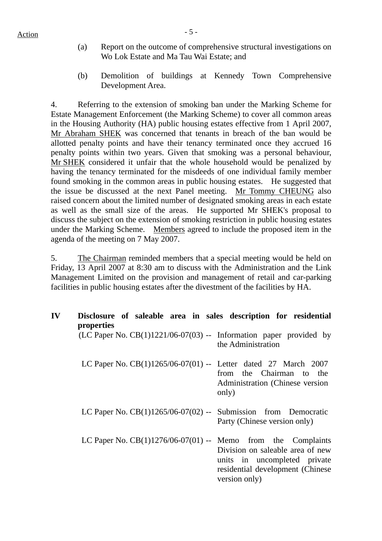- (a) Report on the outcome of comprehensive structural investigations on Wo Lok Estate and Ma Tau Wai Estate; and
- (b) Demolition of buildings at Kennedy Town Comprehensive Development Area.

4. Referring to the extension of smoking ban under the Marking Scheme for Estate Management Enforcement (the Marking Scheme) to cover all common areas in the Housing Authority (HA) public housing estates effective from 1 April 2007, Mr Abraham SHEK was concerned that tenants in breach of the ban would be allotted penalty points and have their tenancy terminated once they accrued 16 penalty points within two years. Given that smoking was a personal behaviour, Mr SHEK considered it unfair that the whole household would be penalized by having the tenancy terminated for the misdeeds of one individual family member found smoking in the common areas in public housing estates. He suggested that the issue be discussed at the next Panel meeting. Mr Tommy CHEUNG also raised concern about the limited number of designated smoking areas in each estate as well as the small size of the areas. He supported Mr SHEK's proposal to discuss the subject on the extension of smoking restriction in public housing estates under the Marking Scheme. Members agreed to include the proposed item in the agenda of the meeting on 7 May 2007.

5. The Chairman reminded members that a special meeting would be held on Friday, 13 April 2007 at 8:30 am to discuss with the Administration and the Link Management Limited on the provision and management of retail and car-parking facilities in public housing estates after the divestment of the facilities by HA.

| IV | Disclosure of saleable area in sales description for residential<br>properties |                                                                                                                       |
|----|--------------------------------------------------------------------------------|-----------------------------------------------------------------------------------------------------------------------|
|    | (LC Paper No. $CB(1)1221/06-07(03)$ -- Information paper provided by           | the Administration                                                                                                    |
|    | LC Paper No. $CB(1)1265/06-07(01)$ -- Letter dated 27 March 2007               | from the Chairman to the<br>Administration (Chinese version)<br>only)                                                 |
|    | LC Paper No. $CB(1)1265/06-07(02)$ -- Submission from Democratic               | Party (Chinese version only)                                                                                          |
|    | LC Paper No. $CB(1)1276/06-07(01)$ -- Memo from the Complaints                 | Division on saleable area of new<br>units in uncompleted private<br>residential development (Chinese<br>version only) |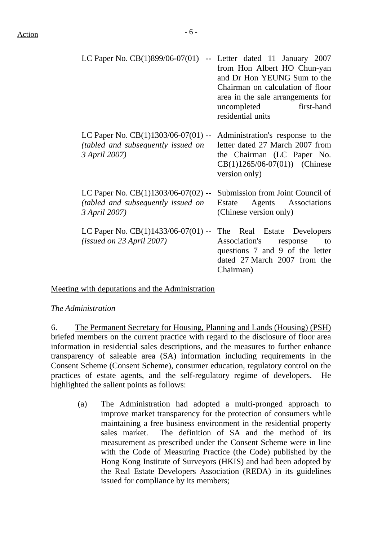| LC Paper No. CB(1)899/06-07(01)                                                                       | -- Letter dated 11 January 2007<br>from Hon Albert HO Chun-yan<br>and Dr Hon YEUNG Sum to the<br>Chairman on calculation of floor<br>area in the sale arrangements for<br>uncompleted first-hand<br>residential units |
|-------------------------------------------------------------------------------------------------------|-----------------------------------------------------------------------------------------------------------------------------------------------------------------------------------------------------------------------|
| LC Paper No. $CB(1)1303/06-07(01)$ --<br><i>(tabled and subsequently issued on</i> )<br>3 April 2007) | Administration's response to the<br>letter dated 27 March 2007 from<br>the Chairman (LC Paper No.<br>$CB(1)1265/06-07(01))$ (Chinese<br>version only)                                                                 |
| LC Paper No. $CB(1)1303/06-07(02)$ --<br><i>(tabled and subsequently issued on</i> )<br>3 April 2007) | Submission from Joint Council of<br>Agents Associations<br>Estate<br>(Chinese version only)                                                                                                                           |
| LC Paper No. $CB(1)1433/06-07(01)$ --<br>(isused on 23 April 2007)                                    | The Real Estate Developers<br>Association's<br>response<br>to<br>questions 7 and 9 of the letter<br>dated 27 March 2007 from the<br>Chairman)                                                                         |

Meeting with deputations and the Administration

#### *The Administration*

6. The Permanent Secretary for Housing, Planning and Lands (Housing) (PSH) briefed members on the current practice with regard to the disclosure of floor area information in residential sales descriptions, and the measures to further enhance transparency of saleable area (SA) information including requirements in the Consent Scheme (Consent Scheme), consumer education, regulatory control on the practices of estate agents, and the self-regulatory regime of developers. He highlighted the salient points as follows:

(a) The Administration had adopted a multi-pronged approach to improve market transparency for the protection of consumers while maintaining a free business environment in the residential property sales market. The definition of SA and the method of its measurement as prescribed under the Consent Scheme were in line with the Code of Measuring Practice (the Code) published by the Hong Kong Institute of Surveyors (HKIS) and had been adopted by the Real Estate Developers Association (REDA) in its guidelines issued for compliance by its members;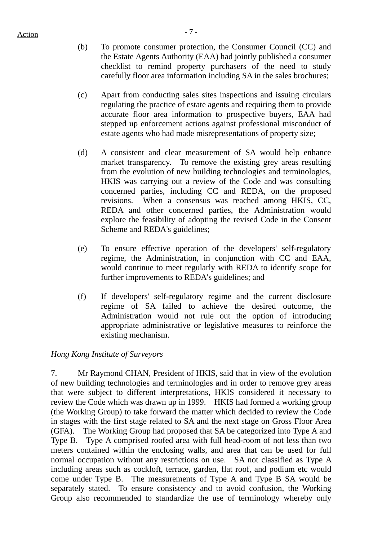$Action$ 

- (b) To promote consumer protection, the Consumer Council (CC) and the Estate Agents Authority (EAA) had jointly published a consumer checklist to remind property purchasers of the need to study carefully floor area information including SA in the sales brochures;
- (c) Apart from conducting sales sites inspections and issuing circulars regulating the practice of estate agents and requiring them to provide accurate floor area information to prospective buyers, EAA had stepped up enforcement actions against professional misconduct of estate agents who had made misrepresentations of property size;
- (d) A consistent and clear measurement of SA would help enhance market transparency. To remove the existing grey areas resulting from the evolution of new building technologies and terminologies, HKIS was carrying out a review of the Code and was consulting concerned parties, including CC and REDA, on the proposed revisions. When a consensus was reached among HKIS, CC, REDA and other concerned parties, the Administration would explore the feasibility of adopting the revised Code in the Consent Scheme and REDA's guidelines;
- (e) To ensure effective operation of the developers' self-regulatory regime, the Administration, in conjunction with CC and EAA, would continue to meet regularly with REDA to identify scope for further improvements to REDA's guidelines; and
- (f) If developers' self-regulatory regime and the current disclosure regime of SA failed to achieve the desired outcome, the Administration would not rule out the option of introducing appropriate administrative or legislative measures to reinforce the existing mechanism.

# *Hong Kong Institute of Surveyors*

7. Mr Raymond CHAN, President of HKIS, said that in view of the evolution of new building technologies and terminologies and in order to remove grey areas that were subject to different interpretations, HKIS considered it necessary to review the Code which was drawn up in 1999. HKIS had formed a working group (the Working Group) to take forward the matter which decided to review the Code in stages with the first stage related to SA and the next stage on Gross Floor Area (GFA). The Working Group had proposed that SA be categorized into Type A and Type B. Type A comprised roofed area with full head-room of not less than two meters contained within the enclosing walls, and area that can be used for full normal occupation without any restrictions on use. SA not classified as Type A including areas such as cockloft, terrace, garden, flat roof, and podium etc would come under Type B. The measurements of Type A and Type B SA would be separately stated. To ensure consistency and to avoid confusion, the Working Group also recommended to standardize the use of terminology whereby only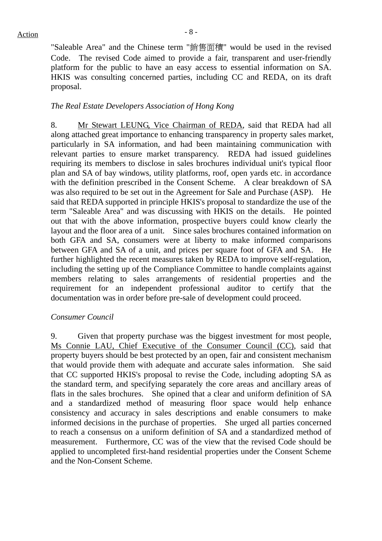"Saleable Area" and the Chinese term "銷售面積" would be used in the revised Code. The revised Code aimed to provide a fair, transparent and user-friendly platform for the public to have an easy access to essential information on SA. HKIS was consulting concerned parties, including CC and REDA, on its draft proposal.

#### *The Real Estate Developers Association of Hong Kong*

8. Mr Stewart LEUNG, Vice Chairman of REDA, said that REDA had all along attached great importance to enhancing transparency in property sales market, particularly in SA information, and had been maintaining communication with relevant parties to ensure market transparency. REDA had issued guidelines requiring its members to disclose in sales brochures individual unit's typical floor plan and SA of bay windows, utility platforms, roof, open yards etc. in accordance with the definition prescribed in the Consent Scheme. A clear breakdown of SA was also required to be set out in the Agreement for Sale and Purchase (ASP). He said that REDA supported in principle HKIS's proposal to standardize the use of the term "Saleable Area" and was discussing with HKIS on the details. He pointed out that with the above information, prospective buyers could know clearly the layout and the floor area of a unit. Since sales brochures contained information on both GFA and SA, consumers were at liberty to make informed comparisons between GFA and SA of a unit, and prices per square foot of GFA and SA. He further highlighted the recent measures taken by REDA to improve self-regulation, including the setting up of the Compliance Committee to handle complaints against members relating to sales arrangements of residential properties and the requirement for an independent professional auditor to certify that the documentation was in order before pre-sale of development could proceed.

#### *Consumer Council*

9. Given that property purchase was the biggest investment for most people, Ms Connie LAU, Chief Executive of the Consumer Council (CC), said that property buyers should be best protected by an open, fair and consistent mechanism that would provide them with adequate and accurate sales information. She said that CC supported HKIS's proposal to revise the Code, including adopting SA as the standard term, and specifying separately the core areas and ancillary areas of flats in the sales brochures. She opined that a clear and uniform definition of SA and a standardized method of measuring floor space would help enhance consistency and accuracy in sales descriptions and enable consumers to make informed decisions in the purchase of properties. She urged all parties concerned to reach a consensus on a uniform definition of SA and a standardized method of measurement. Furthermore, CC was of the view that the revised Code should be applied to uncompleted first-hand residential properties under the Consent Scheme and the Non-Consent Scheme.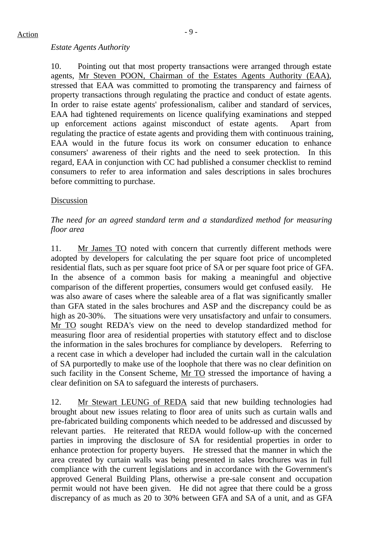#### *Estate Agents Authority*

10. Pointing out that most property transactions were arranged through estate agents, Mr Steven POON, Chairman of the Estates Agents Authority (EAA), stressed that EAA was committed to promoting the transparency and fairness of property transactions through regulating the practice and conduct of estate agents. In order to raise estate agents' professionalism, caliber and standard of services, EAA had tightened requirements on licence qualifying examinations and stepped up enforcement actions against misconduct of estate agents. Apart from regulating the practice of estate agents and providing them with continuous training, EAA would in the future focus its work on consumer education to enhance consumers' awareness of their rights and the need to seek protection. In this regard, EAA in conjunction with CC had published a consumer checklist to remind consumers to refer to area information and sales descriptions in sales brochures before committing to purchase.

#### Discussion

# *The need for an agreed standard term and a standardized method for measuring floor area*

11. Mr James TO noted with concern that currently different methods were adopted by developers for calculating the per square foot price of uncompleted residential flats, such as per square foot price of SA or per square foot price of GFA. In the absence of a common basis for making a meaningful and objective comparison of the different properties, consumers would get confused easily. He was also aware of cases where the saleable area of a flat was significantly smaller than GFA stated in the sales brochures and ASP and the discrepancy could be as high as 20-30%. The situations were very unsatisfactory and unfair to consumers. Mr TO sought REDA's view on the need to develop standardized method for measuring floor area of residential properties with statutory effect and to disclose the information in the sales brochures for compliance by developers. Referring to a recent case in which a developer had included the curtain wall in the calculation of SA purportedly to make use of the loophole that there was no clear definition on such facility in the Consent Scheme, Mr TO stressed the importance of having a clear definition on SA to safeguard the interests of purchasers.

12. Mr Stewart LEUNG of REDA said that new building technologies had brought about new issues relating to floor area of units such as curtain walls and pre-fabricated building components which needed to be addressed and discussed by relevant parties. He reiterated that REDA would follow-up with the concerned parties in improving the disclosure of SA for residential properties in order to enhance protection for property buyers. He stressed that the manner in which the area created by curtain walls was being presented in sales brochures was in full compliance with the current legislations and in accordance with the Government's approved General Building Plans, otherwise a pre-sale consent and occupation permit would not have been given. He did not agree that there could be a gross discrepancy of as much as 20 to 30% between GFA and SA of a unit, and as GFA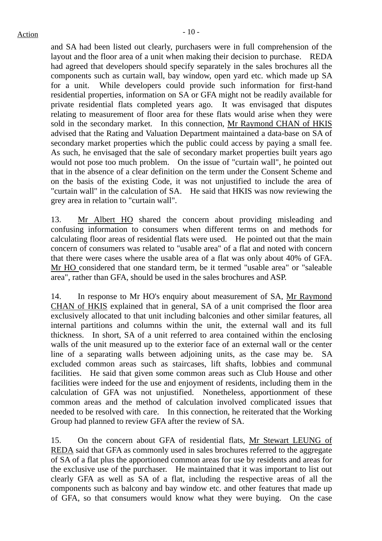and SA had been listed out clearly, purchasers were in full comprehension of the layout and the floor area of a unit when making their decision to purchase. REDA had agreed that developers should specify separately in the sales brochures all the components such as curtain wall, bay window, open yard etc. which made up SA for a unit. While developers could provide such information for first-hand residential properties, information on SA or GFA might not be readily available for private residential flats completed years ago. It was envisaged that disputes relating to measurement of floor area for these flats would arise when they were sold in the secondary market. In this connection, Mr Raymond CHAN of HKIS advised that the Rating and Valuation Department maintained a data-base on SA of secondary market properties which the public could access by paying a small fee. As such, he envisaged that the sale of secondary market properties built years ago would not pose too much problem. On the issue of "curtain wall", he pointed out that in the absence of a clear definition on the term under the Consent Scheme and on the basis of the existing Code, it was not unjustified to include the area of "curtain wall" in the calculation of SA. He said that HKIS was now reviewing the grey area in relation to "curtain wall".

13. Mr Albert HO shared the concern about providing misleading and confusing information to consumers when different terms on and methods for calculating floor areas of residential flats were used. He pointed out that the main concern of consumers was related to "usable area" of a flat and noted with concern that there were cases where the usable area of a flat was only about 40% of GFA. Mr HO considered that one standard term, be it termed "usable area" or "saleable area", rather than GFA, should be used in the sales brochures and ASP.

14. In response to Mr HO's enquiry about measurement of SA, Mr Raymond CHAN of HKIS explained that in general, SA of a unit comprised the floor area exclusively allocated to that unit including balconies and other similar features, all internal partitions and columns within the unit, the external wall and its full thickness. In short, SA of a unit referred to area contained within the enclosing walls of the unit measured up to the exterior face of an external wall or the center line of a separating walls between adjoining units, as the case may be. SA excluded common areas such as staircases, lift shafts, lobbies and communal facilities. He said that given some common areas such as Club House and other facilities were indeed for the use and enjoyment of residents, including them in the calculation of GFA was not unjustified. Nonetheless, apportionment of these common areas and the method of calculation involved complicated issues that needed to be resolved with care. In this connection, he reiterated that the Working Group had planned to review GFA after the review of SA.

15. On the concern about GFA of residential flats, Mr Stewart LEUNG of REDA said that GFA as commonly used in sales brochures referred to the aggregate of SA of a flat plus the apportioned common areas for use by residents and areas for the exclusive use of the purchaser. He maintained that it was important to list out clearly GFA as well as SA of a flat, including the respective areas of all the components such as balcony and bay window etc. and other features that made up of GFA, so that consumers would know what they were buying. On the case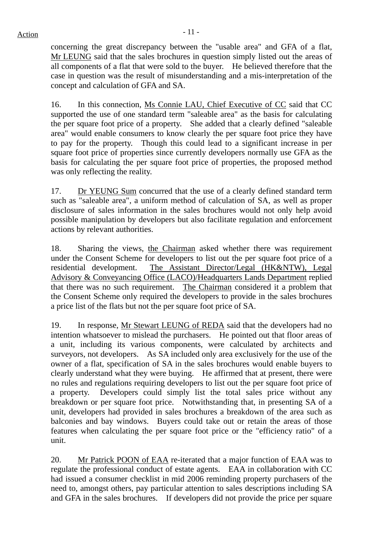concerning the great discrepancy between the "usable area" and GFA of a flat, Mr LEUNG said that the sales brochures in question simply listed out the areas of all components of a flat that were sold to the buyer. He believed therefore that the case in question was the result of misunderstanding and a mis-interpretation of the concept and calculation of GFA and SA.

16. In this connection, Ms Connie LAU, Chief Executive of CC said that CC supported the use of one standard term "saleable area" as the basis for calculating the per square foot price of a property. She added that a clearly defined "saleable area" would enable consumers to know clearly the per square foot price they have to pay for the property. Though this could lead to a significant increase in per square foot price of properties since currently developers normally use GFA as the basis for calculating the per square foot price of properties, the proposed method was only reflecting the reality.

17. Dr YEUNG Sum concurred that the use of a clearly defined standard term such as "saleable area", a uniform method of calculation of SA, as well as proper disclosure of sales information in the sales brochures would not only help avoid possible manipulation by developers but also facilitate regulation and enforcement actions by relevant authorities.

18. Sharing the views, the Chairman asked whether there was requirement under the Consent Scheme for developers to list out the per square foot price of a residential development. The Assistant Director/Legal (HK&NTW), Legal Advisory & Conveyancing Office (LACO)/Headquarters Lands Department replied that there was no such requirement. The Chairman considered it a problem that the Consent Scheme only required the developers to provide in the sales brochures a price list of the flats but not the per square foot price of SA.

19. In response, Mr Stewart LEUNG of REDA said that the developers had no intention whatsoever to mislead the purchasers. He pointed out that floor areas of a unit, including its various components, were calculated by architects and surveyors, not developers. As SA included only area exclusively for the use of the owner of a flat, specification of SA in the sales brochures would enable buyers to clearly understand what they were buying. He affirmed that at present, there were no rules and regulations requiring developers to list out the per square foot price of a property. Developers could simply list the total sales price without any breakdown or per square foot price. Notwithstanding that, in presenting SA of a unit, developers had provided in sales brochures a breakdown of the area such as balconies and bay windows. Buyers could take out or retain the areas of those features when calculating the per square foot price or the "efficiency ratio" of a unit.

20. Mr Patrick POON of EAA re-iterated that a major function of EAA was to regulate the professional conduct of estate agents. EAA in collaboration with CC had issued a consumer checklist in mid 2006 reminding property purchasers of the need to, amongst others, pay particular attention to sales descriptions including SA and GFA in the sales brochures. If developers did not provide the price per square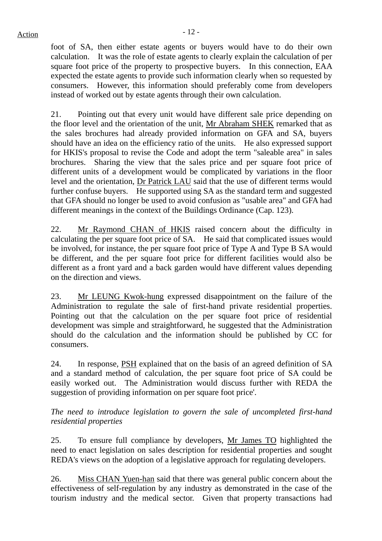$Action$ 

foot of SA, then either estate agents or buyers would have to do their own calculation. It was the role of estate agents to clearly explain the calculation of per square foot price of the property to prospective buyers. In this connection, EAA expected the estate agents to provide such information clearly when so requested by consumers. However, this information should preferably come from developers instead of worked out by estate agents through their own calculation.

21. Pointing out that every unit would have different sale price depending on the floor level and the orientation of the unit, Mr Abraham SHEK remarked that as the sales brochures had already provided information on GFA and SA, buyers should have an idea on the efficiency ratio of the units. He also expressed support for HKIS's proposal to revise the Code and adopt the term "saleable area" in sales brochures. Sharing the view that the sales price and per square foot price of different units of a development would be complicated by variations in the floor level and the orientation, Dr Patrick LAU said that the use of different terms would further confuse buyers. He supported using SA as the standard term and suggested that GFA should no longer be used to avoid confusion as "usable area" and GFA had different meanings in the context of the Buildings Ordinance (Cap. 123).

22. Mr Raymond CHAN of HKIS raised concern about the difficulty in calculating the per square foot price of SA. He said that complicated issues would be involved, for instance, the per square foot price of Type A and Type B SA would be different, and the per square foot price for different facilities would also be different as a front yard and a back garden would have different values depending on the direction and views.

23. Mr LEUNG Kwok-hung expressed disappointment on the failure of the Administration to regulate the sale of first-hand private residential properties. Pointing out that the calculation on the per square foot price of residential development was simple and straightforward, he suggested that the Administration should do the calculation and the information should be published by CC for consumers.

24. In response, PSH explained that on the basis of an agreed definition of SA and a standard method of calculation, the per square foot price of SA could be easily worked out. The Administration would discuss further with REDA the suggestion of providing information on per square foot price'.

*The need to introduce legislation to govern the sale of uncompleted first-hand residential properties* 

25. To ensure full compliance by developers, Mr James TO highlighted the need to enact legislation on sales description for residential properties and sought REDA's views on the adoption of a legislative approach for regulating developers.

26. Miss CHAN Yuen-han said that there was general public concern about the effectiveness of self-regulation by any industry as demonstrated in the case of the tourism industry and the medical sector. Given that property transactions had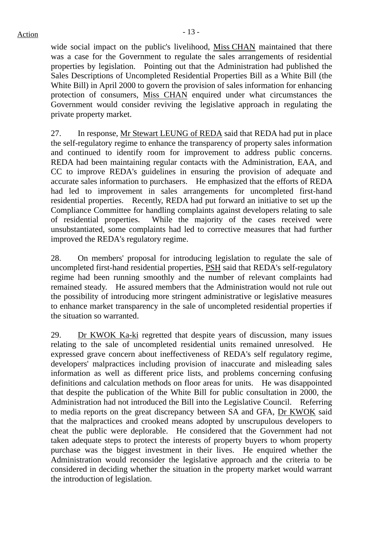wide social impact on the public's livelihood, Miss CHAN maintained that there was a case for the Government to regulate the sales arrangements of residential properties by legislation. Pointing out that the Administration had published the Sales Descriptions of Uncompleted Residential Properties Bill as a White Bill (the White Bill) in April 2000 to govern the provision of sales information for enhancing protection of consumers, Miss CHAN enquired under what circumstances the Government would consider reviving the legislative approach in regulating the private property market.

27. In response, Mr Stewart LEUNG of REDA said that REDA had put in place the self-regulatory regime to enhance the transparency of property sales information and continued to identify room for improvement to address public concerns. REDA had been maintaining regular contacts with the Administration, EAA, and CC to improve REDA's guidelines in ensuring the provision of adequate and accurate sales information to purchasers. He emphasized that the efforts of REDA had led to improvement in sales arrangements for uncompleted first-hand residential properties. Recently, REDA had put forward an initiative to set up the Compliance Committee for handling complaints against developers relating to sale of residential properties. While the majority of the cases received were unsubstantiated, some complaints had led to corrective measures that had further improved the REDA's regulatory regime.

28. On members' proposal for introducing legislation to regulate the sale of uncompleted first-hand residential properties, PSH said that REDA's self-regulatory regime had been running smoothly and the number of relevant complaints had remained steady. He assured members that the Administration would not rule out the possibility of introducing more stringent administrative or legislative measures to enhance market transparency in the sale of uncompleted residential properties if the situation so warranted.

29. Dr KWOK Ka-ki regretted that despite years of discussion, many issues relating to the sale of uncompleted residential units remained unresolved. He expressed grave concern about ineffectiveness of REDA's self regulatory regime, developers' malpractices including provision of inaccurate and misleading sales information as well as different price lists, and problems concerning confusing definitions and calculation methods on floor areas for units. He was disappointed that despite the publication of the White Bill for public consultation in 2000, the Administration had not introduced the Bill into the Legislative Council. Referring to media reports on the great discrepancy between SA and GFA, Dr KWOK said that the malpractices and crooked means adopted by unscrupulous developers to cheat the public were deplorable. He considered that the Government had not taken adequate steps to protect the interests of property buyers to whom property purchase was the biggest investment in their lives. He enquired whether the Administration would reconsider the legislative approach and the criteria to be considered in deciding whether the situation in the property market would warrant the introduction of legislation.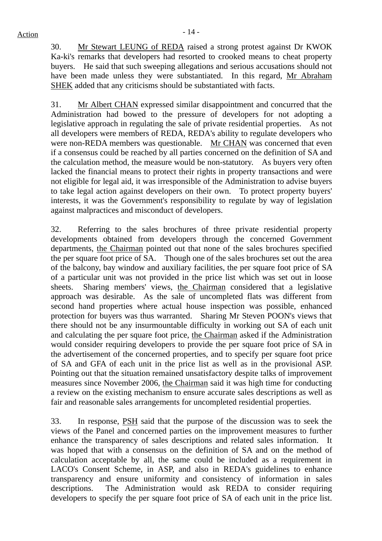30. Mr Stewart LEUNG of REDA raised a strong protest against Dr KWOK Ka-ki's remarks that developers had resorted to crooked means to cheat property buyers. He said that such sweeping allegations and serious accusations should not have been made unless they were substantiated. In this regard, Mr Abraham SHEK added that any criticisms should be substantiated with facts.

31. Mr Albert CHAN expressed similar disappointment and concurred that the Administration had bowed to the pressure of developers for not adopting a legislative approach in regulating the sale of private residential properties. As not all developers were members of REDA, REDA's ability to regulate developers who were non-REDA members was questionable. Mr CHAN was concerned that even if a consensus could be reached by all parties concerned on the definition of SA and the calculation method, the measure would be non-statutory. As buyers very often lacked the financial means to protect their rights in property transactions and were not eligible for legal aid, it was irresponsible of the Administration to advise buyers to take legal action against developers on their own. To protect property buyers' interests, it was the Government's responsibility to regulate by way of legislation against malpractices and misconduct of developers.

32. Referring to the sales brochures of three private residential property developments obtained from developers through the concerned Government departments, the Chairman pointed out that none of the sales brochures specified the per square foot price of SA. Though one of the sales brochures set out the area of the balcony, bay window and auxiliary facilities, the per square foot price of SA of a particular unit was not provided in the price list which was set out in loose sheets. Sharing members' views, the Chairman considered that a legislative approach was desirable. As the sale of uncompleted flats was different from second hand properties where actual house inspection was possible, enhanced protection for buyers was thus warranted. Sharing Mr Steven POON's views that there should not be any insurmountable difficulty in working out SA of each unit and calculating the per square foot price, the Chairman asked if the Administration would consider requiring developers to provide the per square foot price of SA in the advertisement of the concerned properties, and to specify per square foot price of SA and GFA of each unit in the price list as well as in the provisional ASP. Pointing out that the situation remained unsatisfactory despite talks of improvement measures since November 2006, the Chairman said it was high time for conducting a review on the existing mechanism to ensure accurate sales descriptions as well as fair and reasonable sales arrangements for uncompleted residential properties.

33. In response, PSH said that the purpose of the discussion was to seek the views of the Panel and concerned parties on the improvement measures to further enhance the transparency of sales descriptions and related sales information. It was hoped that with a consensus on the definition of SA and on the method of calculation acceptable by all, the same could be included as a requirement in LACO's Consent Scheme, in ASP, and also in REDA's guidelines to enhance transparency and ensure uniformity and consistency of information in sales descriptions. The Administration would ask REDA to consider requiring developers to specify the per square foot price of SA of each unit in the price list.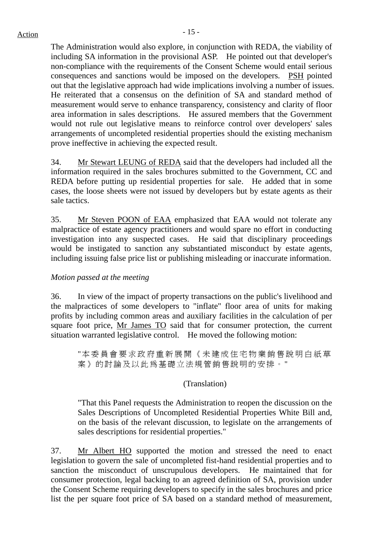The Administration would also explore, in conjunction with REDA, the viability of including SA information in the provisional ASP. He pointed out that developer's non-compliance with the requirements of the Consent Scheme would entail serious consequences and sanctions would be imposed on the developers. PSH pointed out that the legislative approach had wide implications involving a number of issues. He reiterated that a consensus on the definition of SA and standard method of measurement would serve to enhance transparency, consistency and clarity of floor area information in sales descriptions. He assured members that the Government would not rule out legislative means to reinforce control over developers' sales arrangements of uncompleted residential properties should the existing mechanism prove ineffective in achieving the expected result.

34. Mr Stewart LEUNG of REDA said that the developers had included all the information required in the sales brochures submitted to the Government, CC and REDA before putting up residential properties for sale. He added that in some cases, the loose sheets were not issued by developers but by estate agents as their sale tactics.

35. Mr Steven POON of EAA emphasized that EAA would not tolerate any malpractice of estate agency practitioners and would spare no effort in conducting investigation into any suspected cases. He said that disciplinary proceedings would be instigated to sanction any substantiated misconduct by estate agents, including issuing false price list or publishing misleading or inaccurate information.

# *Motion passed at the meeting*

36. In view of the impact of property transactions on the public's livelihood and the malpractices of some developers to "inflate" floor area of units for making profits by including common areas and auxiliary facilities in the calculation of per square foot price, Mr James TO said that for consumer protection, the current situation warranted legislative control. He moved the following motion:

"本委員會要求政府重新展開《未建成住宅物業銷售說明白紙草 案》的討論及以此爲基礎立法規管銷售說明的安排。"

# (Translation)

"That this Panel requests the Administration to reopen the discussion on the Sales Descriptions of Uncompleted Residential Properties White Bill and, on the basis of the relevant discussion, to legislate on the arrangements of sales descriptions for residential properties."

37. Mr Albert HO supported the motion and stressed the need to enact legislation to govern the sale of uncompleted fist-hand residential properties and to sanction the misconduct of unscrupulous developers. He maintained that for consumer protection, legal backing to an agreed definition of SA, provision under the Consent Scheme requiring developers to specify in the sales brochures and price list the per square foot price of SA based on a standard method of measurement,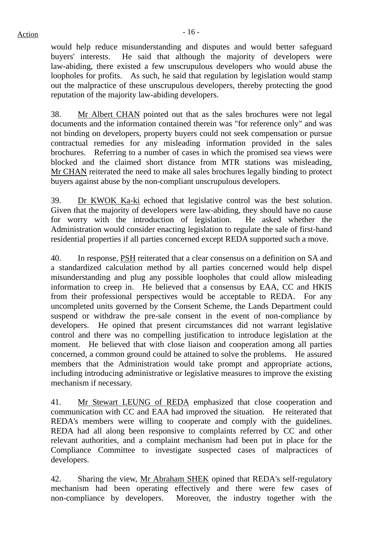would help reduce misunderstanding and disputes and would better safeguard buyers' interests. He said that although the majority of developers were law-abiding, there existed a few unscrupulous developers who would abuse the loopholes for profits. As such, he said that regulation by legislation would stamp out the malpractice of these unscrupulous developers, thereby protecting the good reputation of the majority law-abiding developers.

38. Mr Albert CHAN pointed out that as the sales brochures were not legal documents and the information contained therein was "for reference only" and was not binding on developers, property buyers could not seek compensation or pursue contractual remedies for any misleading information provided in the sales brochures. Referring to a number of cases in which the promised sea views were blocked and the claimed short distance from MTR stations was misleading, Mr CHAN reiterated the need to make all sales brochures legally binding to protect buyers against abuse by the non-compliant unscrupulous developers.

39. Dr KWOK Ka-ki echoed that legislative control was the best solution. Given that the majority of developers were law-abiding, they should have no cause for worry with the introduction of legislation. He asked whether the Administration would consider enacting legislation to regulate the sale of first-hand residential properties if all parties concerned except REDA supported such a move.

40. In response, PSH reiterated that a clear consensus on a definition on SA and a standardized calculation method by all parties concerned would help dispel misunderstanding and plug any possible loopholes that could allow misleading information to creep in. He believed that a consensus by EAA, CC and HKIS from their professional perspectives would be acceptable to REDA. For any uncompleted units governed by the Consent Scheme, the Lands Department could suspend or withdraw the pre-sale consent in the event of non-compliance by developers. He opined that present circumstances did not warrant legislative control and there was no compelling justification to introduce legislation at the moment. He believed that with close liaison and cooperation among all parties concerned, a common ground could be attained to solve the problems. He assured members that the Administration would take prompt and appropriate actions, including introducing administrative or legislative measures to improve the existing mechanism if necessary.

41. Mr Stewart LEUNG of REDA emphasized that close cooperation and communication with CC and EAA had improved the situation. He reiterated that REDA's members were willing to cooperate and comply with the guidelines. REDA had all along been responsive to complaints referred by CC and other relevant authorities, and a complaint mechanism had been put in place for the Compliance Committee to investigate suspected cases of malpractices of developers.

42. Sharing the view, Mr Abraham SHEK opined that REDA's self-regulatory mechanism had been operating effectively and there were few cases of non-compliance by developers. Moreover, the industry together with the